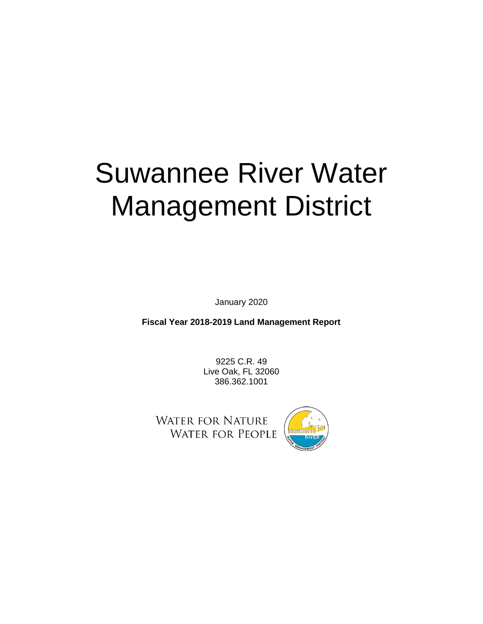# Suwannee River Water Management District

January 2020

**Fiscal Year 2018-2019 Land Management Report** 

9225 C.R. 49 Live Oak, FL 32060 386.362.1001

**WATER FOR NATURE WATER FOR PEOPLE** 

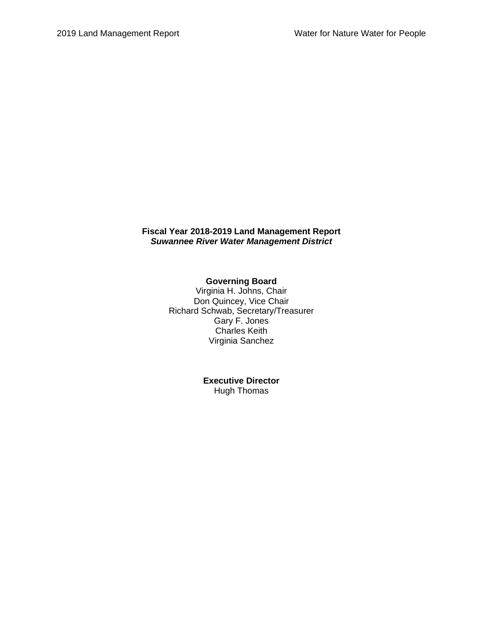## **Fiscal Year 2018-2019 Land Management Report** *Suwannee River Water Management District*

## **Governing Board**

Virginia H. Johns, Chair Don Quincey, Vice Chair Richard Schwab, Secretary/Treasurer Gary F. Jones Charles Keith Virginia Sanchez

> **Executive Director** Hugh Thomas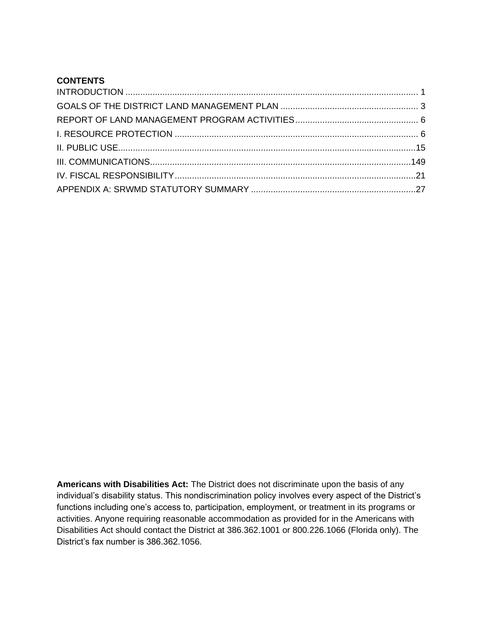# **CONTENTS**

**Americans with Disabilities Act:** The District does not discriminate upon the basis of any individual's disability status. This nondiscrimination policy involves every aspect of the District's functions including one's access to, participation, employment, or treatment in its programs or activities. Anyone requiring reasonable accommodation as provided for in the Americans with Disabilities Act should contact the District at 386.362.1001 or 800.226.1066 (Florida only). The District's fax number is 386.362.1056.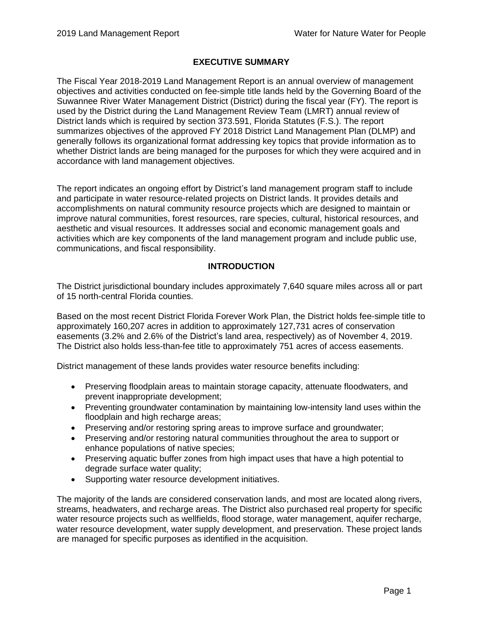# **EXECUTIVE SUMMARY**

The Fiscal Year 2018-2019 Land Management Report is an annual overview of management objectives and activities conducted on fee-simple title lands held by the Governing Board of the Suwannee River Water Management District (District) during the fiscal year (FY). The report is used by the District during the Land Management Review Team (LMRT) annual review of District lands which is required by section 373.591, Florida Statutes (F.S.). The report summarizes objectives of the approved FY 2018 District Land Management Plan (DLMP) and generally follows its organizational format addressing key topics that provide information as to whether District lands are being managed for the purposes for which they were acquired and in accordance with land management objectives.

The report indicates an ongoing effort by District's land management program staff to include and participate in water resource-related projects on District lands. It provides details and accomplishments on natural community resource projects which are designed to maintain or improve natural communities, forest resources, rare species, cultural, historical resources, and aesthetic and visual resources. It addresses social and economic management goals and activities which are key components of the land management program and include public use, communications, and fiscal responsibility.

## **INTRODUCTION**

<span id="page-3-0"></span>The District jurisdictional boundary includes approximately 7,640 square miles across all or part of 15 north-central Florida counties.

Based on the most recent District Florida Forever Work Plan, the District holds fee-simple title to approximately 160,207 acres in addition to approximately 127,731 acres of conservation easements (3.2% and 2.6% of the District's land area, respectively) as of November 4, 2019. The District also holds less-than-fee title to approximately 751 acres of access easements.

District management of these lands provides water resource benefits including:

- Preserving floodplain areas to maintain storage capacity, attenuate floodwaters, and prevent inappropriate development;
- Preventing groundwater contamination by maintaining low-intensity land uses within the floodplain and high recharge areas;
- Preserving and/or restoring spring areas to improve surface and groundwater;
- Preserving and/or restoring natural communities throughout the area to support or enhance populations of native species;
- Preserving aquatic buffer zones from high impact uses that have a high potential to degrade surface water quality;
- Supporting water resource development initiatives.

The majority of the lands are considered conservation lands, and most are located along rivers, streams, headwaters, and recharge areas. The District also purchased real property for specific water resource projects such as wellfields, flood storage, water management, aquifer recharge, water resource development, water supply development, and preservation. These project lands are managed for specific purposes as identified in the acquisition.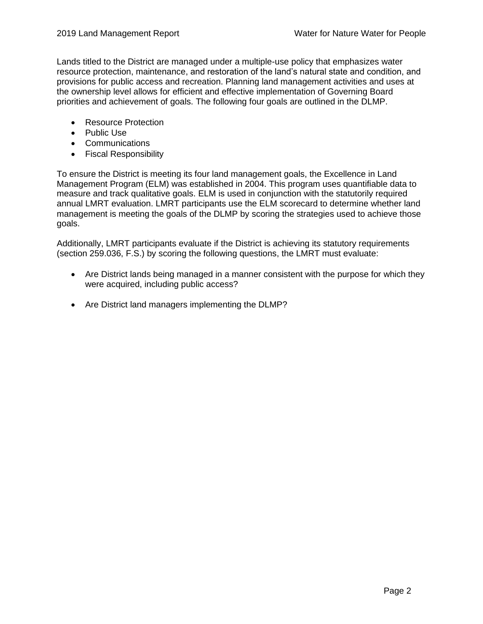Lands titled to the District are managed under a multiple-use policy that emphasizes water resource protection, maintenance, and restoration of the land's natural state and condition, and provisions for public access and recreation. Planning land management activities and uses at the ownership level allows for efficient and effective implementation of Governing Board priorities and achievement of goals. The following four goals are outlined in the DLMP.

- Resource Protection
- Public Use
- Communications
- Fiscal Responsibility

To ensure the District is meeting its four land management goals, the Excellence in Land Management Program (ELM) was established in 2004. This program uses quantifiable data to measure and track qualitative goals. ELM is used in conjunction with the statutorily required annual LMRT evaluation. LMRT participants use the ELM scorecard to determine whether land management is meeting the goals of the DLMP by scoring the strategies used to achieve those goals.

Additionally, LMRT participants evaluate if the District is achieving its statutory requirements (section 259.036, F.S.) by scoring the following questions, the LMRT must evaluate:

- Are District lands being managed in a manner consistent with the purpose for which they were acquired, including public access?
- Are District land managers implementing the DLMP?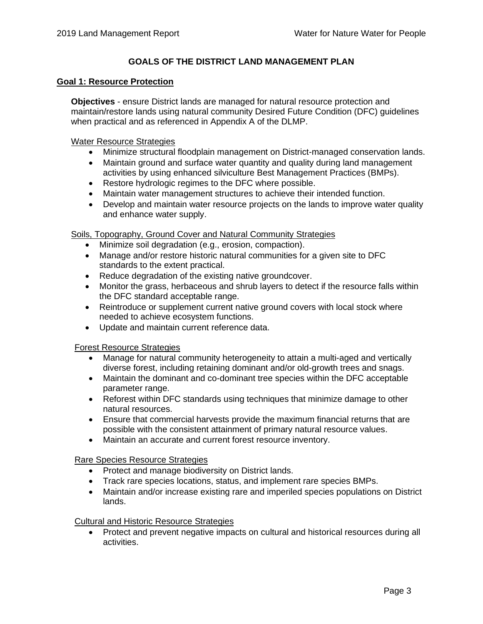# **GOALS OF THE DISTRICT LAND MANAGEMENT PLAN**

#### <span id="page-5-0"></span>**Goal 1: Resource Protection**

**Objectives** - ensure District lands are managed for natural resource protection and maintain/restore lands using natural community Desired Future Condition (DFC) guidelines when practical and as referenced in Appendix A of the DLMP.

Water Resource Strategies

- Minimize structural floodplain management on District-managed conservation lands.
- Maintain ground and surface water quantity and quality during land management activities by using enhanced silviculture Best Management Practices (BMPs).
- Restore hydrologic regimes to the DFC where possible.
- Maintain water management structures to achieve their intended function.
- Develop and maintain water resource projects on the lands to improve water quality and enhance water supply.

Soils, Topography, Ground Cover and Natural Community Strategies

- Minimize soil degradation (e.g., erosion, compaction).
- Manage and/or restore historic natural communities for a given site to DFC standards to the extent practical.
- Reduce degradation of the existing native groundcover.
- Monitor the grass, herbaceous and shrub layers to detect if the resource falls within the DFC standard acceptable range.
- Reintroduce or supplement current native ground covers with local stock where needed to achieve ecosystem functions.
- Update and maintain current reference data.

#### Forest Resource Strategies

- Manage for natural community heterogeneity to attain a multi-aged and vertically diverse forest, including retaining dominant and/or old-growth trees and snags.
- Maintain the dominant and co-dominant tree species within the DFC acceptable parameter range.
- Reforest within DFC standards using techniques that minimize damage to other natural resources.
- Ensure that commercial harvests provide the maximum financial returns that are possible with the consistent attainment of primary natural resource values.
- Maintain an accurate and current forest resource inventory.

#### Rare Species Resource Strategies

- Protect and manage biodiversity on District lands.
- Track rare species locations, status, and implement rare species BMPs.
- Maintain and/or increase existing rare and imperiled species populations on District lands.

## Cultural and Historic Resource Strategies

• Protect and prevent negative impacts on cultural and historical resources during all activities.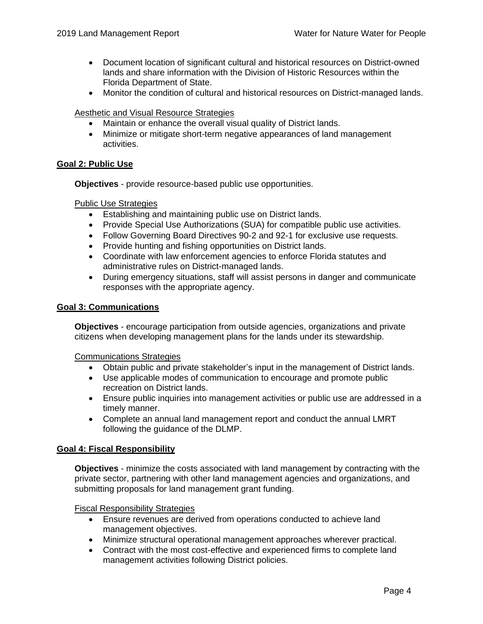- Document location of significant cultural and historical resources on District-owned lands and share information with the Division of Historic Resources within the Florida Department of State.
- Monitor the condition of cultural and historical resources on District-managed lands.

#### Aesthetic and Visual Resource Strategies

- Maintain or enhance the overall visual quality of District lands.
- Minimize or mitigate short-term negative appearances of land management activities.

## **Goal 2: Public Use**

**Objectives** - provide resource-based public use opportunities.

#### Public Use Strategies

- Establishing and maintaining public use on District lands.
- Provide Special Use Authorizations (SUA) for compatible public use activities.
- Follow Governing Board Directives 90-2 and 92-1 for exclusive use requests.
- Provide hunting and fishing opportunities on District lands.
- Coordinate with law enforcement agencies to enforce Florida statutes and administrative rules on District-managed lands.
- During emergency situations, staff will assist persons in danger and communicate responses with the appropriate agency.

#### **Goal 3: Communications**

**Objectives** - encourage participation from outside agencies, organizations and private citizens when developing management plans for the lands under its stewardship.

Communications Strategies

- Obtain public and private stakeholder's input in the management of District lands.
- Use applicable modes of communication to encourage and promote public recreation on District lands.
- Ensure public inquiries into management activities or public use are addressed in a timely manner.
- Complete an annual land management report and conduct the annual LMRT following the guidance of the DLMP.

#### **Goal 4: Fiscal Responsibility**

**Objectives** - minimize the costs associated with land management by contracting with the private sector, partnering with other land management agencies and organizations, and submitting proposals for land management grant funding.

Fiscal Responsibility Strategies

- Ensure revenues are derived from operations conducted to achieve land management objectives.
- Minimize structural operational management approaches wherever practical.
- Contract with the most cost-effective and experienced firms to complete land management activities following District policies.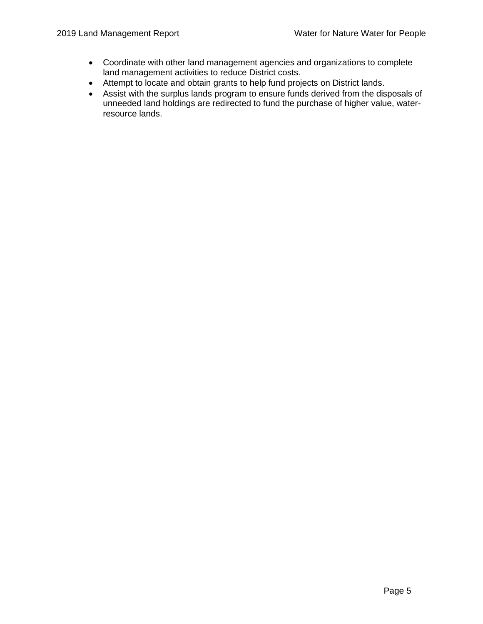- Coordinate with other land management agencies and organizations to complete land management activities to reduce District costs.
- Attempt to locate and obtain grants to help fund projects on District lands.
- <span id="page-7-0"></span>• Assist with the surplus lands program to ensure funds derived from the disposals of unneeded land holdings are redirected to fund the purchase of higher value, waterresource lands.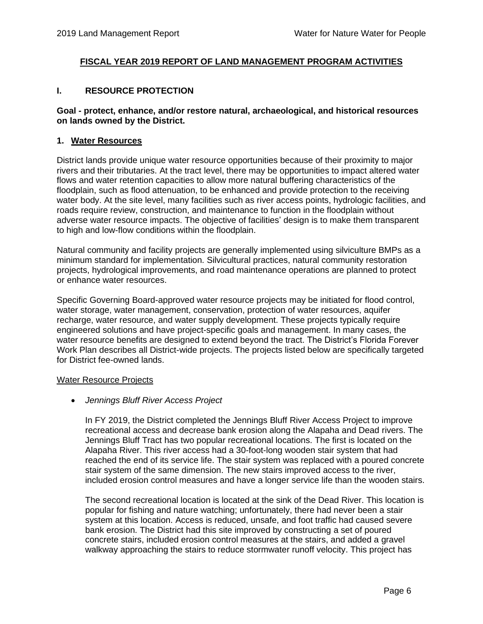## **FISCAL YEAR 2019 REPORT OF LAND MANAGEMENT PROGRAM ACTIVITIES**

## <span id="page-8-0"></span>**I. RESOURCE PROTECTION**

#### **Goal - protect, enhance, and/or restore natural, archaeological, and historical resources on lands owned by the District.**

#### **1. Water Resources**

District lands provide unique water resource opportunities because of their proximity to major rivers and their tributaries. At the tract level, there may be opportunities to impact altered water flows and water retention capacities to allow more natural buffering characteristics of the floodplain, such as flood attenuation, to be enhanced and provide protection to the receiving water body. At the site level, many facilities such as river access points, hydrologic facilities, and roads require review, construction, and maintenance to function in the floodplain without adverse water resource impacts. The objective of facilities' design is to make them transparent to high and low-flow conditions within the floodplain.

Natural community and facility projects are generally implemented using silviculture BMPs as a minimum standard for implementation. Silvicultural practices, natural community restoration projects, hydrological improvements, and road maintenance operations are planned to protect or enhance water resources.

Specific Governing Board-approved water resource projects may be initiated for flood control, water storage, water management, conservation, protection of water resources, aquifer recharge, water resource, and water supply development. These projects typically require engineered solutions and have project-specific goals and management. In many cases, the water resource benefits are designed to extend beyond the tract. The District's Florida Forever Work Plan describes all District-wide projects. The projects listed below are specifically targeted for District fee-owned lands.

#### Water Resource Projects

• *Jennings Bluff River Access Project*

In FY 2019, the District completed the Jennings Bluff River Access Project to improve recreational access and decrease bank erosion along the Alapaha and Dead rivers. The Jennings Bluff Tract has two popular recreational locations. The first is located on the Alapaha River. This river access had a 30-foot-long wooden stair system that had reached the end of its service life. The stair system was replaced with a poured concrete stair system of the same dimension. The new stairs improved access to the river, included erosion control measures and have a longer service life than the wooden stairs.

The second recreational location is located at the sink of the Dead River. This location is popular for fishing and nature watching; unfortunately, there had never been a stair system at this location. Access is reduced, unsafe, and foot traffic had caused severe bank erosion. The District had this site improved by constructing a set of poured concrete stairs, included erosion control measures at the stairs, and added a gravel walkway approaching the stairs to reduce stormwater runoff velocity. This project has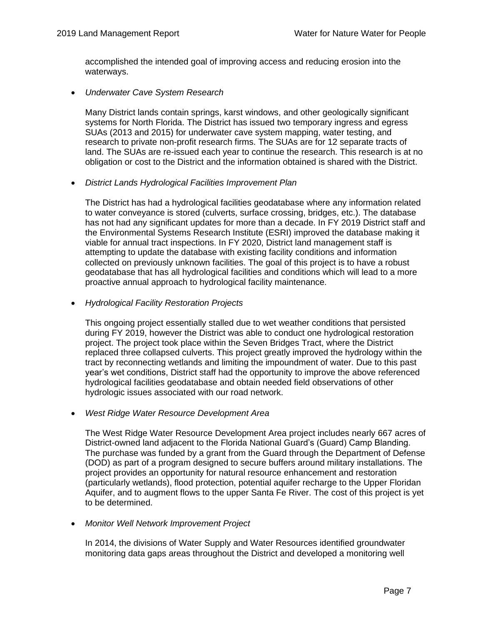accomplished the intended goal of improving access and reducing erosion into the waterways.

• *Underwater Cave System Research*

Many District lands contain springs, karst windows, and other geologically significant systems for North Florida. The District has issued two temporary ingress and egress SUAs (2013 and 2015) for underwater cave system mapping, water testing, and research to private non-profit research firms. The SUAs are for 12 separate tracts of land. The SUAs are re-issued each year to continue the research. This research is at no obligation or cost to the District and the information obtained is shared with the District.

• *District Lands Hydrological Facilities Improvement Plan* 

The District has had a hydrological facilities geodatabase where any information related to water conveyance is stored (culverts, surface crossing, bridges, etc.). The database has not had any significant updates for more than a decade. In FY 2019 District staff and the Environmental Systems Research Institute (ESRI) improved the database making it viable for annual tract inspections. In FY 2020, District land management staff is attempting to update the database with existing facility conditions and information collected on previously unknown facilities. The goal of this project is to have a robust geodatabase that has all hydrological facilities and conditions which will lead to a more proactive annual approach to hydrological facility maintenance.

• *Hydrological Facility Restoration Projects*

This ongoing project essentially stalled due to wet weather conditions that persisted during FY 2019, however the District was able to conduct one hydrological restoration project. The project took place within the Seven Bridges Tract, where the District replaced three collapsed culverts. This project greatly improved the hydrology within the tract by reconnecting wetlands and limiting the impoundment of water. Due to this past year's wet conditions, District staff had the opportunity to improve the above referenced hydrological facilities geodatabase and obtain needed field observations of other hydrologic issues associated with our road network.

• *West Ridge Water Resource Development Area*

The West Ridge Water Resource Development Area project includes nearly 667 acres of District-owned land adjacent to the Florida National Guard's (Guard) Camp Blanding. The purchase was funded by a grant from the Guard through the Department of Defense (DOD) as part of a program designed to secure buffers around military installations. The project provides an opportunity for natural resource enhancement and restoration (particularly wetlands), flood protection, potential aquifer recharge to the Upper Floridan Aquifer, and to augment flows to the upper Santa Fe River. The cost of this project is yet to be determined.

• *Monitor Well Network Improvement Project*

In 2014, the divisions of Water Supply and Water Resources identified groundwater monitoring data gaps areas throughout the District and developed a monitoring well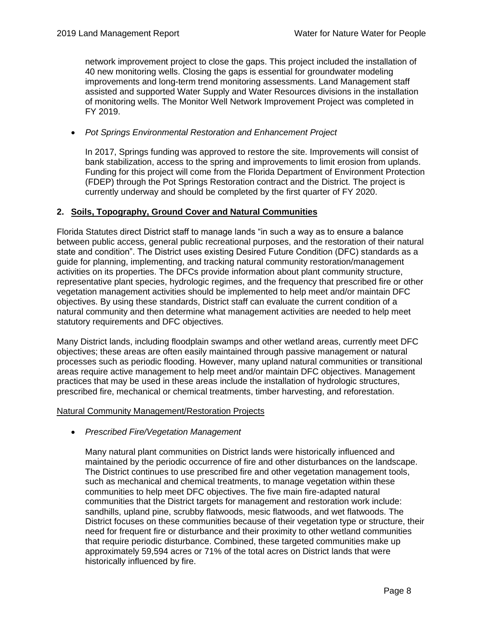network improvement project to close the gaps. This project included the installation of 40 new monitoring wells. Closing the gaps is essential for groundwater modeling improvements and long-term trend monitoring assessments. Land Management staff assisted and supported Water Supply and Water Resources divisions in the installation of monitoring wells. The Monitor Well Network Improvement Project was completed in FY 2019.

## • *Pot Springs Environmental Restoration and Enhancement Project*

In 2017, Springs funding was approved to restore the site. Improvements will consist of bank stabilization, access to the spring and improvements to limit erosion from uplands. Funding for this project will come from the Florida Department of Environment Protection (FDEP) through the Pot Springs Restoration contract and the District. The project is currently underway and should be completed by the first quarter of FY 2020.

## **2. Soils, Topography, Ground Cover and Natural Communities**

Florida Statutes direct District staff to manage lands "in such a way as to ensure a balance between public access, general public recreational purposes, and the restoration of their natural state and condition". The District uses existing Desired Future Condition (DFC) standards as a guide for planning, implementing, and tracking natural community restoration/management activities on its properties. The DFCs provide information about plant community structure, representative plant species, hydrologic regimes, and the frequency that prescribed fire or other vegetation management activities should be implemented to help meet and/or maintain DFC objectives. By using these standards, District staff can evaluate the current condition of a natural community and then determine what management activities are needed to help meet statutory requirements and DFC objectives.

Many District lands, including floodplain swamps and other wetland areas, currently meet DFC objectives; these areas are often easily maintained through passive management or natural processes such as periodic flooding. However, many upland natural communities or transitional areas require active management to help meet and/or maintain DFC objectives. Management practices that may be used in these areas include the installation of hydrologic structures, prescribed fire, mechanical or chemical treatments, timber harvesting, and reforestation.

#### Natural Community Management/Restoration Projects

• *Prescribed Fire/Vegetation Management*

Many natural plant communities on District lands were historically influenced and maintained by the periodic occurrence of fire and other disturbances on the landscape. The District continues to use prescribed fire and other vegetation management tools, such as mechanical and chemical treatments, to manage vegetation within these communities to help meet DFC objectives. The five main fire-adapted natural communities that the District targets for management and restoration work include: sandhills, upland pine, scrubby flatwoods, mesic flatwoods, and wet flatwoods. The District focuses on these communities because of their vegetation type or structure, their need for frequent fire or disturbance and their proximity to other wetland communities that require periodic disturbance. Combined, these targeted communities make up approximately 59,594 acres or 71% of the total acres on District lands that were historically influenced by fire.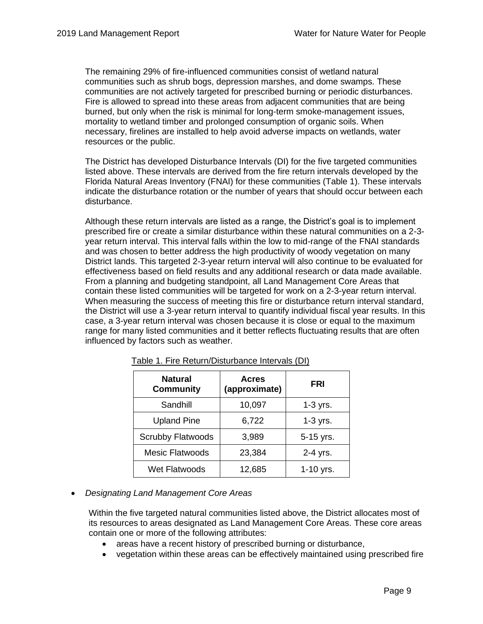The remaining 29% of fire-influenced communities consist of wetland natural communities such as shrub bogs, depression marshes, and dome swamps. These communities are not actively targeted for prescribed burning or periodic disturbances. Fire is allowed to spread into these areas from adjacent communities that are being burned, but only when the risk is minimal for long-term smoke-management issues, mortality to wetland timber and prolonged consumption of organic soils. When necessary, firelines are installed to help avoid adverse impacts on wetlands, water resources or the public.

The District has developed Disturbance Intervals (DI) for the five targeted communities listed above. These intervals are derived from the fire return intervals developed by the Florida Natural Areas Inventory (FNAI) for these communities (Table 1). These intervals indicate the disturbance rotation or the number of years that should occur between each disturbance.

Although these return intervals are listed as a range, the District's goal is to implement prescribed fire or create a similar disturbance within these natural communities on a 2-3 year return interval. This interval falls within the low to mid-range of the FNAI standards and was chosen to better address the high productivity of woody vegetation on many District lands. This targeted 2-3-year return interval will also continue to be evaluated for effectiveness based on field results and any additional research or data made available. From a planning and budgeting standpoint, all Land Management Core Areas that contain these listed communities will be targeted for work on a 2-3-year return interval. When measuring the success of meeting this fire or disturbance return interval standard, the District will use a 3-year return interval to quantify individual fiscal year results. In this case, a 3-year return interval was chosen because it is close or equal to the maximum range for many listed communities and it better reflects fluctuating results that are often influenced by factors such as weather.

| <b>Natural</b><br><b>Community</b> | <b>Acres</b><br>(approximate) | <b>FRI</b>  |
|------------------------------------|-------------------------------|-------------|
| Sandhill                           | 10,097                        | $1-3$ yrs.  |
| <b>Upland Pine</b>                 | 6,722                         | $1-3$ yrs.  |
| <b>Scrubby Flatwoods</b>           | 3,989                         | 5-15 yrs.   |
| <b>Mesic Flatwoods</b>             | 23,384                        | 2-4 yrs.    |
| Wet Flatwoods                      | 12,685                        | $1-10$ yrs. |

Table 1. Fire Return/Disturbance Intervals (DI)

• *Designating Land Management Core Areas*

Within the five targeted natural communities listed above, the District allocates most of its resources to areas designated as Land Management Core Areas. These core areas contain one or more of the following attributes:

- areas have a recent history of prescribed burning or disturbance,
- vegetation within these areas can be effectively maintained using prescribed fire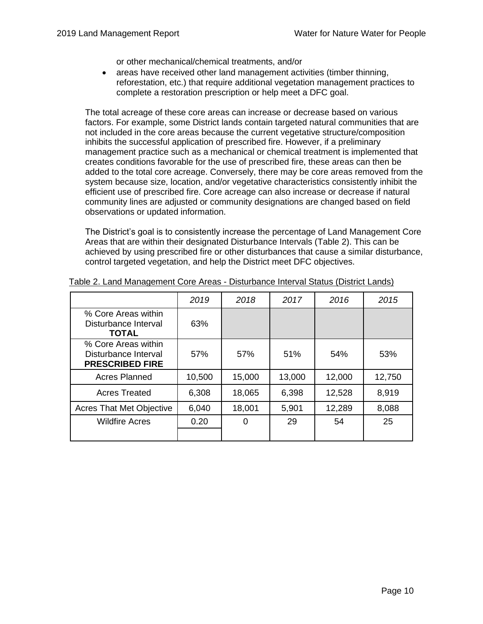or other mechanical/chemical treatments, and/or

• areas have received other land management activities (timber thinning, reforestation, etc.) that require additional vegetation management practices to complete a restoration prescription or help meet a DFC goal.

The total acreage of these core areas can increase or decrease based on various factors. For example, some District lands contain targeted natural communities that are not included in the core areas because the current vegetative structure/composition inhibits the successful application of prescribed fire. However, if a preliminary management practice such as a mechanical or chemical treatment is implemented that creates conditions favorable for the use of prescribed fire, these areas can then be added to the total core acreage. Conversely, there may be core areas removed from the system because size, location, and/or vegetative characteristics consistently inhibit the efficient use of prescribed fire. Core acreage can also increase or decrease if natural community lines are adjusted or community designations are changed based on field observations or updated information.

The District's goal is to consistently increase the percentage of Land Management Core Areas that are within their designated Disturbance Intervals (Table 2). This can be achieved by using prescribed fire or other disturbances that cause a similar disturbance, control targeted vegetation, and help the District meet DFC objectives.

|                                                                       | 2019   | 2018   | 2017   | 2016   | 2015   |
|-----------------------------------------------------------------------|--------|--------|--------|--------|--------|
| % Core Areas within<br>Disturbance Interval<br><b>TOTAL</b>           | 63%    |        |        |        |        |
| % Core Areas within<br>Disturbance Interval<br><b>PRESCRIBED FIRE</b> | 57%    | 57%    | 51%    | 54%    | 53%    |
| <b>Acres Planned</b>                                                  | 10,500 | 15,000 | 13,000 | 12,000 | 12,750 |
| <b>Acres Treated</b>                                                  | 6,308  | 18,065 | 6,398  | 12,528 | 8,919  |
| <b>Acres That Met Objective</b>                                       | 6,040  | 18,001 | 5,901  | 12,289 | 8,088  |
| <b>Wildfire Acres</b>                                                 | 0.20   | 0      | 29     | 54     | 25     |

#### Table 2. Land Management Core Areas - Disturbance Interval Status (District Lands)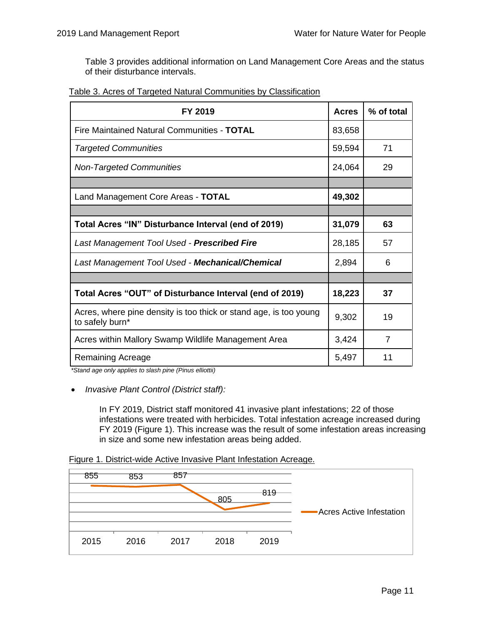Table 3 provides additional information on Land Management Core Areas and the status of their disturbance intervals.

|--|

| FY 2019                                                                              | <b>Acres</b> | % of total     |
|--------------------------------------------------------------------------------------|--------------|----------------|
| Fire Maintained Natural Communities - TOTAL                                          | 83,658       |                |
| <b>Targeted Communities</b>                                                          | 59,594       | 71             |
| <b>Non-Targeted Communities</b>                                                      | 24,064       | 29             |
|                                                                                      |              |                |
| Land Management Core Areas - TOTAL                                                   | 49,302       |                |
|                                                                                      |              |                |
| Total Acres "IN" Disturbance Interval (end of 2019)                                  | 31,079       | 63             |
| Last Management Tool Used - Prescribed Fire                                          | 28,185       | 57             |
| Last Management Tool Used - Mechanical/Chemical                                      | 2,894        | 6              |
|                                                                                      |              |                |
| Total Acres "OUT" of Disturbance Interval (end of 2019)                              | 18,223       | 37             |
| Acres, where pine density is too thick or stand age, is too young<br>to safely burn* | 9,302        | 19             |
| Acres within Mallory Swamp Wildlife Management Area                                  | 3,424        | $\overline{7}$ |
| <b>Remaining Acreage</b>                                                             | 5,497        | 11             |

*\*Stand age only applies to slash pine (Pinus elliottii)*

• *Invasive Plant Control (District staff):*

In FY 2019, District staff monitored 41 invasive plant infestations; 22 of those infestations were treated with herbicides. Total infestation acreage increased during FY 2019 (Figure 1). This increase was the result of some infestation areas increasing in size and some new infestation areas being added.

Figure 1. District-wide Active Invasive Plant Infestation Acreage.

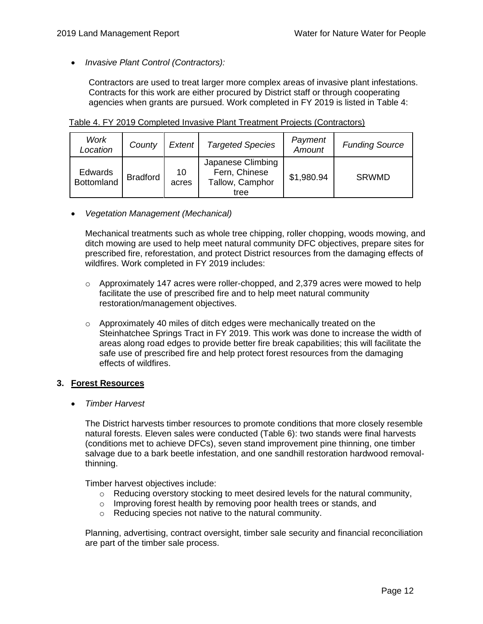• *Invasive Plant Control (Contractors):*

Contractors are used to treat larger more complex areas of invasive plant infestations. Contracts for this work are either procured by District staff or through cooperating agencies when grants are pursued. Work completed in FY 2019 is listed in Table 4:

| Work<br>Location             | County          | Extent      | <b>Targeted Species</b>                                       | Payment<br>Amount | <b>Funding Source</b> |
|------------------------------|-----------------|-------------|---------------------------------------------------------------|-------------------|-----------------------|
| Edwards<br><b>Bottomland</b> | <b>Bradford</b> | 10<br>acres | Japanese Climbing<br>Fern, Chinese<br>Tallow, Camphor<br>tree | \$1,980.94        | <b>SRWMD</b>          |

Table 4. FY 2019 Completed Invasive Plant Treatment Projects (Contractors)

• *Vegetation Management (Mechanical)*

Mechanical treatments such as whole tree chipping, roller chopping, woods mowing, and ditch mowing are used to help meet natural community DFC objectives, prepare sites for prescribed fire, reforestation, and protect District resources from the damaging effects of wildfires. Work completed in FY 2019 includes:

- $\circ$  Approximately 147 acres were roller-chopped, and 2,379 acres were mowed to help facilitate the use of prescribed fire and to help meet natural community restoration/management objectives.
- o Approximately 40 miles of ditch edges were mechanically treated on the Steinhatchee Springs Tract in FY 2019. This work was done to increase the width of areas along road edges to provide better fire break capabilities; this will facilitate the safe use of prescribed fire and help protect forest resources from the damaging effects of wildfires.

## **3. Forest Resources**

• *Timber Harvest*

The District harvests timber resources to promote conditions that more closely resemble natural forests. Eleven sales were conducted (Table 6): two stands were final harvests (conditions met to achieve DFCs), seven stand improvement pine thinning, one timber salvage due to a bark beetle infestation, and one sandhill restoration hardwood removalthinning.

Timber harvest objectives include:

- o Reducing overstory stocking to meet desired levels for the natural community,
- o Improving forest health by removing poor health trees or stands, and
- o Reducing species not native to the natural community.

Planning, advertising, contract oversight, timber sale security and financial reconciliation are part of the timber sale process.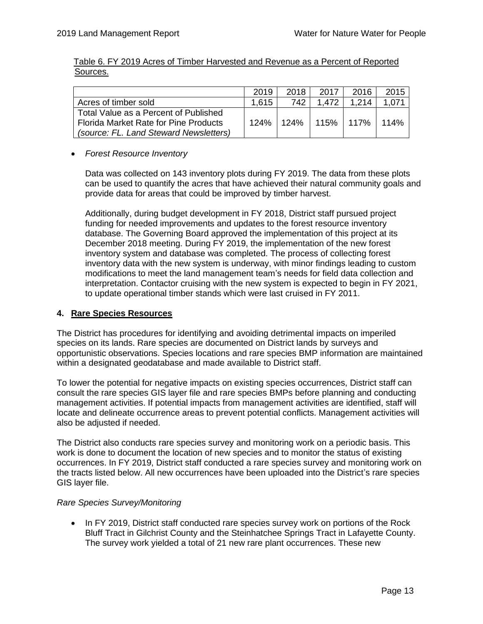|          | Table 6. FY 2019 Acres of Timber Harvested and Revenue as a Percent of Reported |  |  |  |  |
|----------|---------------------------------------------------------------------------------|--|--|--|--|
| Sources. |                                                                                 |  |  |  |  |

|                                        | 2019  | 2018   | 2017  | 2016          | 2015  |
|----------------------------------------|-------|--------|-------|---------------|-------|
| Acres of timber sold                   | 1.615 | 742    | 1 472 | 1 214         | 1.071 |
| Total Value as a Percent of Published  |       |        |       |               |       |
| Florida Market Rate for Pine Products  | 124%  | 124% l |       | 115% ∣ 117% ∣ | 114%  |
| (source: FL. Land Steward Newsletters) |       |        |       |               |       |

## • *Forest Resource Inventory*

Data was collected on 143 inventory plots during FY 2019. The data from these plots can be used to quantify the acres that have achieved their natural community goals and provide data for areas that could be improved by timber harvest.

Additionally, during budget development in FY 2018, District staff pursued project funding for needed improvements and updates to the forest resource inventory database. The Governing Board approved the implementation of this project at its December 2018 meeting. During FY 2019, the implementation of the new forest inventory system and database was completed. The process of collecting forest inventory data with the new system is underway, with minor findings leading to custom modifications to meet the land management team's needs for field data collection and interpretation. Contactor cruising with the new system is expected to begin in FY 2021, to update operational timber stands which were last cruised in FY 2011.

#### **4. Rare Species Resources**

The District has procedures for identifying and avoiding detrimental impacts on imperiled species on its lands. Rare species are documented on District lands by surveys and opportunistic observations. Species locations and rare species BMP information are maintained within a designated geodatabase and made available to District staff.

To lower the potential for negative impacts on existing species occurrences, District staff can consult the rare species GIS layer file and rare species BMPs before planning and conducting management activities. If potential impacts from management activities are identified, staff will locate and delineate occurrence areas to prevent potential conflicts. Management activities will also be adjusted if needed.

The District also conducts rare species survey and monitoring work on a periodic basis. This work is done to document the location of new species and to monitor the status of existing occurrences. In FY 2019, District staff conducted a rare species survey and monitoring work on the tracts listed below. All new occurrences have been uploaded into the District's rare species GIS layer file.

#### *Rare Species Survey/Monitoring*

• In FY 2019, District staff conducted rare species survey work on portions of the Rock Bluff Tract in Gilchrist County and the Steinhatchee Springs Tract in Lafayette County. The survey work yielded a total of 21 new rare plant occurrences. These new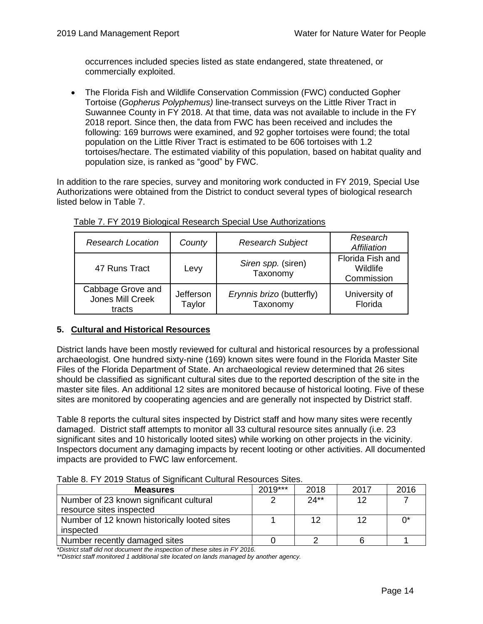occurrences included species listed as state endangered, state threatened, or commercially exploited.

• The Florida Fish and Wildlife Conservation Commission (FWC) conducted Gopher Tortoise (*Gopherus Polyphemus)* line-transect surveys on the Little River Tract in Suwannee County in FY 2018. At that time, data was not available to include in the FY 2018 report. Since then, the data from FWC has been received and includes the following: 169 burrows were examined, and 92 gopher tortoises were found; the total population on the Little River Tract is estimated to be 606 tortoises with 1.2 tortoises/hectare. The estimated viability of this population, based on habitat quality and population size, is ranked as "good" by FWC.

In addition to the rare species, survey and monitoring work conducted in FY 2019, Special Use Authorizations were obtained from the District to conduct several types of biological research listed below in Table 7.

| <b>Research Location</b>                        | County              | <b>Research Subject</b>               | Research<br>Affiliation                    |
|-------------------------------------------------|---------------------|---------------------------------------|--------------------------------------------|
| 47 Runs Tract                                   | Levy                | Siren spp. (siren)<br>Taxonomy        | Florida Fish and<br>Wildlife<br>Commission |
| Cabbage Grove and<br>Jones Mill Creek<br>tracts | Jefferson<br>Taylor | Erynnis brizo (butterfly)<br>Taxonomy | University of<br>Florida                   |

| Table 7. FY 2019 Biological Research Special Use Authorizations |
|-----------------------------------------------------------------|
|-----------------------------------------------------------------|

## <span id="page-16-0"></span>**5. Cultural and Historical Resources**

District lands have been mostly reviewed for cultural and historical resources by a professional archaeologist. One hundred sixty-nine (169) known sites were found in the Florida Master Site Files of the Florida Department of State. An archaeological review determined that 26 sites should be classified as significant cultural sites due to the reported description of the site in the master site files. An additional 12 sites are monitored because of historical looting. Five of these sites are monitored by cooperating agencies and are generally not inspected by District staff.

Table 8 reports the cultural sites inspected by District staff and how many sites were recently damaged. District staff attempts to monitor all 33 cultural resource sites annually (i.e. 23 significant sites and 10 historically looted sites) while working on other projects in the vicinity. Inspectors document any damaging impacts by recent looting or other activities. All documented impacts are provided to FWC law enforcement.

| <b>Measures</b>                              | 2019*** | 2018   | 2017 | 2016 |
|----------------------------------------------|---------|--------|------|------|
| Number of 23 known significant cultural      |         | $24**$ | 12   |      |
| resource sites inspected                     |         |        |      |      |
| Number of 12 known historically looted sites |         | 12     | 12   |      |
| inspected                                    |         |        |      |      |
| Number recently damaged sites                |         |        |      |      |

Table 8. FY 2019 Status of Significant Cultural Resources Sites.

*\*District staff did not document the inspection of these sites in FY 2016.*

*\*\*District staff monitored 1 additional site located on lands managed by another agency.*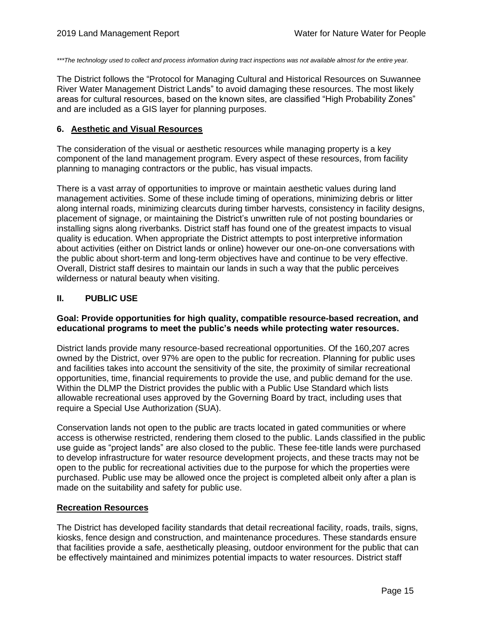*\*\*\*The technology used to collect and process information during tract inspections was not available almost for the entire year.* 

The District follows the "Protocol for Managing Cultural and Historical Resources on Suwannee River Water Management District Lands" to avoid damaging these resources. The most likely areas for cultural resources, based on the known sites, are classified "High Probability Zones" and are included as a GIS layer for planning purposes.

#### **6. Aesthetic and Visual Resources**

The consideration of the visual or aesthetic resources while managing property is a key component of the land management program. Every aspect of these resources, from facility planning to managing contractors or the public, has visual impacts.

There is a vast array of opportunities to improve or maintain aesthetic values during land management activities. Some of these include timing of operations, minimizing debris or litter along internal roads, minimizing clearcuts during timber harvests, consistency in facility designs, placement of signage, or maintaining the District's unwritten rule of not posting boundaries or installing signs along riverbanks. District staff has found one of the greatest impacts to visual quality is education. When appropriate the District attempts to post interpretive information about activities (either on District lands or online) however our one-on-one conversations with the public about short-term and long-term objectives have and continue to be very effective. Overall, District staff desires to maintain our lands in such a way that the public perceives wilderness or natural beauty when visiting.

#### <span id="page-17-0"></span>**II. PUBLIC USE**

#### **Goal: Provide opportunities for high quality, compatible resource-based recreation, and educational programs to meet the public's needs while protecting water resources.**

District lands provide many resource-based recreational opportunities. Of the 160,207 acres owned by the District, over 97% are open to the public for recreation. Planning for public uses and facilities takes into account the sensitivity of the site, the proximity of similar recreational opportunities, time, financial requirements to provide the use, and public demand for the use. Within the DLMP the District provides the public with a Public Use Standard which lists allowable recreational uses approved by the Governing Board by tract, including uses that require a Special Use Authorization (SUA).

Conservation lands not open to the public are tracts located in gated communities or where access is otherwise restricted, rendering them closed to the public. Lands classified in the public use guide as "project lands" are also closed to the public. These fee-title lands were purchased to develop infrastructure for water resource development projects, and these tracts may not be open to the public for recreational activities due to the purpose for which the properties were purchased. Public use may be allowed once the project is completed albeit only after a plan is made on the suitability and safety for public use.

#### **Recreation Resources**

The District has developed facility standards that detail recreational facility, roads, trails, signs, kiosks, fence design and construction, and maintenance procedures. These standards ensure that facilities provide a safe, aesthetically pleasing, outdoor environment for the public that can be effectively maintained and minimizes potential impacts to water resources. District staff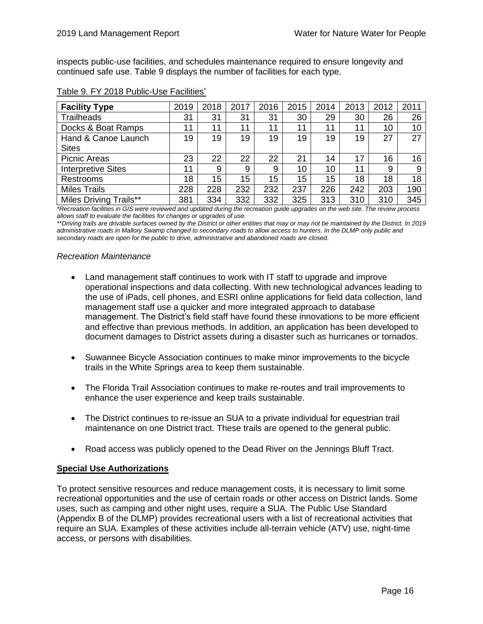inspects public-use facilities, and schedules maintenance required to ensure longevity and continued safe use. Table 9 displays the number of facilities for each type.

| <b>Facility Type</b>          | 2019 | 2018 | 2017 | 2016 | 2015 | 2014 | 2013 | 2012 | 2011 |
|-------------------------------|------|------|------|------|------|------|------|------|------|
| <b>Trailheads</b>             | 31   | 31   | 31   | 31   | 30   | 29   | 30   | 26   | 26   |
| Docks & Boat Ramps            | 11   | 11   | 11   | 11   | 11   | 11   | 11   | 10   | 10   |
| Hand & Canoe Launch           | 19   | 19   | 19   | 19   | 19   | 19   | 19   | 27   | 27   |
| <b>Sites</b>                  |      |      |      |      |      |      |      |      |      |
| <b>Picnic Areas</b>           | 23   | 22   | 22   | 22   | 21   | 14   | 17   | 16   | 16   |
| <b>Interpretive Sites</b>     | 11   | 9    | 9    | 9    | 10   | 10   | 11   | 9    | 9    |
| Restrooms                     | 18   | 15   | 15   | 15   | 15   | 15   | 18   | 18   | 18   |
| <b>Miles Trails</b>           | 228  | 228  | 232  | 232  | 237  | 226  | 242  | 203  | 190  |
| <b>Miles Driving Trails**</b> | 381  | 334  | 332  | 332  | 325  | 313  | 310  | 310  | 345  |

## Table 9. FY 2018 Public-Use Facilities\*

*\*Recreation facilities in GIS were reviewed and updated during the recreation guide upgrades on the web site. The review process allows staff to evaluate the facilities for changes or upgrades of use.* 

*\*\*Driving trails are drivable surfaces owned by the District or other entities that may or may not be maintained by the District. In 2019 administrative roads in Mallory Swamp changed to secondary roads to allow access to hunters. In the DLMP only public and secondary roads are open for the public to drive, administrative and abandoned roads are closed.*

#### *Recreation Maintenance*

- Land management staff continues to work with IT staff to upgrade and improve operational inspections and data collecting. With new technological advances leading to the use of iPads, cell phones, and ESRI online applications for field data collection, land management staff use a quicker and more integrated approach to database management. The District's field staff have found these innovations to be more efficient and effective than previous methods. In addition, an application has been developed to document damages to District assets during a disaster such as hurricanes or tornados.
- Suwannee Bicycle Association continues to make minor improvements to the bicycle trails in the White Springs area to keep them sustainable.
- The Florida Trail Association continues to make re-routes and trail improvements to enhance the user experience and keep trails sustainable.
- The District continues to re-issue an SUA to a private individual for equestrian trail maintenance on one District tract. These trails are opened to the general public.
- Road access was publicly opened to the Dead River on the Jennings Bluff Tract.

#### **Special Use Authorizations**

To protect sensitive resources and reduce management costs, it is necessary to limit some recreational opportunities and the use of certain roads or other access on District lands. Some uses, such as camping and other night uses, require a SUA. The Public Use Standard (Appendix B of the DLMP) provides recreational users with a list of recreational activities that require an SUA. Examples of these activities include all-terrain vehicle (ATV) use, night-time access, or persons with disabilities.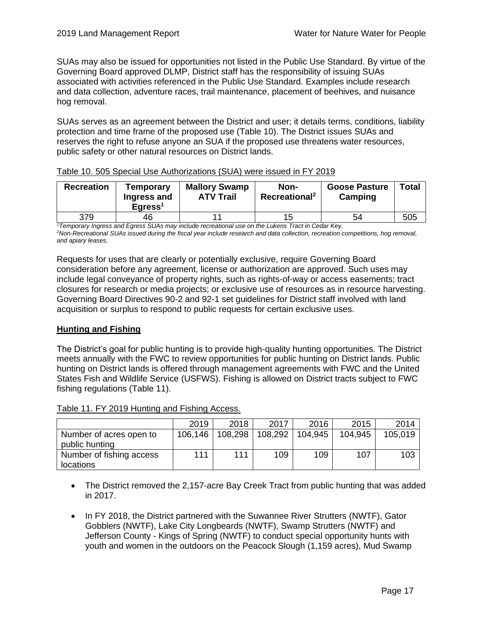SUAs may also be issued for opportunities not listed in the Public Use Standard. By virtue of the Governing Board approved DLMP, District staff has the responsibility of issuing SUAs associated with activities referenced in the Public Use Standard. Examples include research and data collection, adventure races, trail maintenance, placement of beehives, and nuisance hog removal.

SUAs serves as an agreement between the District and user; it details terms, conditions, liability protection and time frame of the proposed use (Table 10). The District issues SUAs and reserves the right to refuse anyone an SUA if the proposed use threatens water resources, public safety or other natural resources on District lands.

| <b>Recreation</b> | <b>Temporary</b><br>Ingress and<br>$E$ qress <sup>1</sup> | <b>Mallory Swamp</b><br><b>ATV Trail</b> | Non-<br>Recreational <sup>2</sup> | <b>Goose Pasture</b><br>Camping | Total |
|-------------------|-----------------------------------------------------------|------------------------------------------|-----------------------------------|---------------------------------|-------|
| 379               | 46                                                        |                                          | 15                                | 54                              | 505   |

## Table 10. 505 Special Use Authorizations (SUA) were issued in FY 2019

*<sup>1</sup>Temporary Ingress and Egress SUAs may include recreational use on the Lukens Tract in Cedar Key. <sup>2</sup>Non-Recreational SUAs issued during the fiscal year include research and data collection, recreation competitions, hog removal, and apiary leases.*

Requests for uses that are clearly or potentially exclusive, require Governing Board consideration before any agreement, license or authorization are approved. Such uses may include legal conveyance of property rights, such as rights-of-way or access easements; tract closures for research or media projects; or exclusive use of resources as in resource harvesting. Governing Board Directives 90-2 and 92-1 set guidelines for District staff involved with land acquisition or surplus to respond to public requests for certain exclusive uses.

## **Hunting and Fishing**

The District's goal for public hunting is to provide high-quality hunting opportunities. The District meets annually with the FWC to review opportunities for public hunting on District lands. Public hunting on District lands is offered through management agreements with FWC and the United States Fish and Wildlife Service (USFWS). Fishing is allowed on District tracts subject to FWC fishing regulations (Table 11).

| Table 11. FY 2019 Hunting and Fishing Access. |
|-----------------------------------------------|
|-----------------------------------------------|

|                                           | 2019    | 2018    | 2017    | 2016    | 2015    | 2014    |
|-------------------------------------------|---------|---------|---------|---------|---------|---------|
| Number of acres open to<br>public hunting | 106,146 | 108,298 | 108,292 | 104.945 | 104.945 | 105.019 |
| Number of fishing access<br>locations     | 111     | 111     | 109     | 109     | 107     | 103     |

- The District removed the 2,157-acre Bay Creek Tract from public hunting that was added in 2017.
- In FY 2018, the District partnered with the Suwannee River Strutters (NWTF), Gator Gobblers (NWTF), Lake City Longbeards (NWTF), Swamp Strutters (NWTF) and Jefferson County - Kings of Spring (NWTF) to conduct special opportunity hunts with youth and women in the outdoors on the Peacock Slough (1,159 acres), Mud Swamp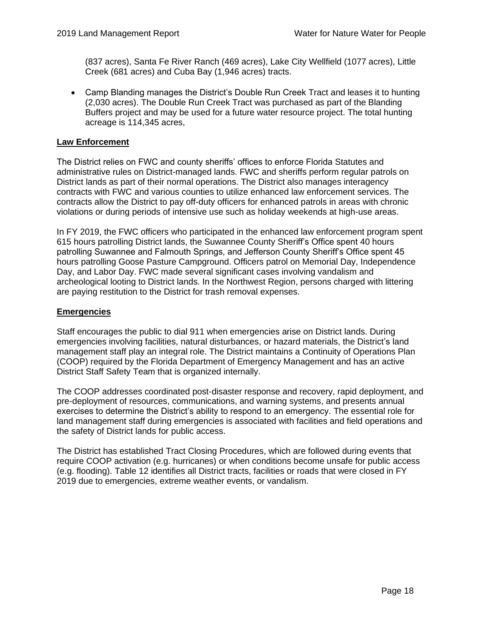(837 acres), Santa Fe River Ranch (469 acres), Lake City Wellfield (1077 acres), Little Creek (681 acres) and Cuba Bay (1,946 acres) tracts.

• Camp Blanding manages the District's Double Run Creek Tract and leases it to hunting (2,030 acres). The Double Run Creek Tract was purchased as part of the Blanding Buffers project and may be used for a future water resource project. The total hunting acreage is 114,345 acres,

#### **Law Enforcement**

The District relies on FWC and county sheriffs' offices to enforce Florida Statutes and administrative rules on District-managed lands. FWC and sheriffs perform regular patrols on District lands as part of their normal operations. The District also manages interagency contracts with FWC and various counties to utilize enhanced law enforcement services. The contracts allow the District to pay off-duty officers for enhanced patrols in areas with chronic violations or during periods of intensive use such as holiday weekends at high-use areas.

In FY 2019, the FWC officers who participated in the enhanced law enforcement program spent 615 hours patrolling District lands, the Suwannee County Sheriff's Office spent 40 hours patrolling Suwannee and Falmouth Springs, and Jefferson County Sheriff's Office spent 45 hours patrolling Goose Pasture Campground. Officers patrol on Memorial Day, Independence Day, and Labor Day. FWC made several significant cases involving vandalism and archeological looting to District lands. In the Northwest Region, persons charged with littering are paying restitution to the District for trash removal expenses.

## **Emergencies**

Staff encourages the public to dial 911 when emergencies arise on District lands. During emergencies involving facilities, natural disturbances, or hazard materials, the District's land management staff play an integral role. The District maintains a Continuity of Operations Plan (COOP) required by the Florida Department of Emergency Management and has an active District Staff Safety Team that is organized internally.

The COOP addresses coordinated post-disaster response and recovery, rapid deployment, and pre-deployment of resources, communications, and warning systems, and presents annual exercises to determine the District's ability to respond to an emergency. The essential role for land management staff during emergencies is associated with facilities and field operations and the safety of District lands for public access.

The District has established Tract Closing Procedures, which are followed during events that require COOP activation (e.g. hurricanes) or when conditions become unsafe for public access (e.g. flooding). Table 12 identifies all District tracts, facilities or roads that were closed in FY 2019 due to emergencies, extreme weather events, or vandalism.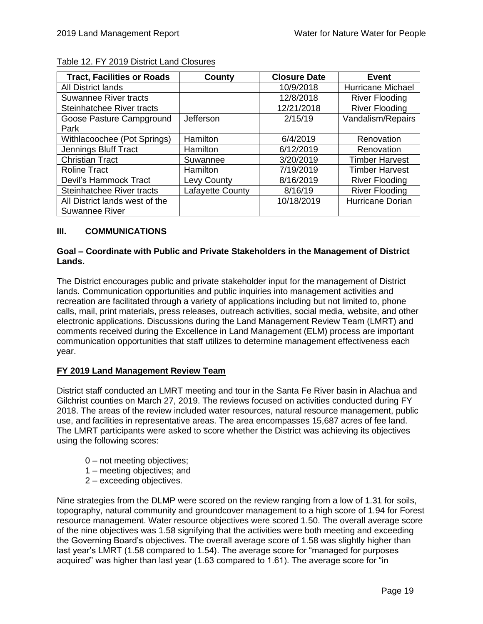| <b>Tract, Facilities or Roads</b> | County           | <b>Closure Date</b> | <b>Event</b>          |
|-----------------------------------|------------------|---------------------|-----------------------|
| <b>All District lands</b>         |                  | 10/9/2018           | Hurricane Michael     |
| <b>Suwannee River tracts</b>      |                  | 12/8/2018           | <b>River Flooding</b> |
| Steinhatchee River tracts         |                  | 12/21/2018          | <b>River Flooding</b> |
| Goose Pasture Campground          | Jefferson        | 2/15/19             | Vandalism/Repairs     |
| Park                              |                  |                     |                       |
| Withlacoochee (Pot Springs)       | Hamilton         | 6/4/2019            | Renovation            |
| Jennings Bluff Tract              | Hamilton         | 6/12/2019           | Renovation            |
| <b>Christian Tract</b>            | Suwannee         | 3/20/2019           | <b>Timber Harvest</b> |
| <b>Roline Tract</b>               | Hamilton         | 7/19/2019           | <b>Timber Harvest</b> |
| Devil's Hammock Tract             | Levy County      | 8/16/2019           | <b>River Flooding</b> |
| Steinhatchee River tracts         | Lafayette County | 8/16/19             | <b>River Flooding</b> |
| All District lands west of the    |                  | 10/18/2019          | Hurricane Dorian      |
| <b>Suwannee River</b>             |                  |                     |                       |

#### Table 12. FY 2019 District Land Closures

## **III. COMMUNICATIONS**

## **Goal – Coordinate with Public and Private Stakeholders in the Management of District Lands.**

The District encourages public and private stakeholder input for the management of District lands. Communication opportunities and public inquiries into management activities and recreation are facilitated through a variety of applications including but not limited to, phone calls, mail, print materials, press releases, outreach activities, social media, website, and other electronic applications. Discussions during the Land Management Review Team (LMRT) and comments received during the Excellence in Land Management (ELM) process are important communication opportunities that staff utilizes to determine management effectiveness each year.

#### **FY 2019 Land Management Review Team**

District staff conducted an LMRT meeting and tour in the Santa Fe River basin in Alachua and Gilchrist counties on March 27, 2019. The reviews focused on activities conducted during FY 2018. The areas of the review included water resources, natural resource management, public use, and facilities in representative areas. The area encompasses 15,687 acres of fee land. The LMRT participants were asked to score whether the District was achieving its objectives using the following scores:

- 0 not meeting objectives;
- 1 meeting objectives; and
- 2 exceeding objectives.

Nine strategies from the DLMP were scored on the review ranging from a low of 1.31 for soils, topography, natural community and groundcover management to a high score of 1.94 for Forest resource management. Water resource objectives were scored 1.50. The overall average score of the nine objectives was 1.58 signifying that the activities were both meeting and exceeding the Governing Board's objectives. The overall average score of 1.58 was slightly higher than last year's LMRT (1.58 compared to 1.54). The average score for "managed for purposes acquired" was higher than last year (1.63 compared to 1.61). The average score for "in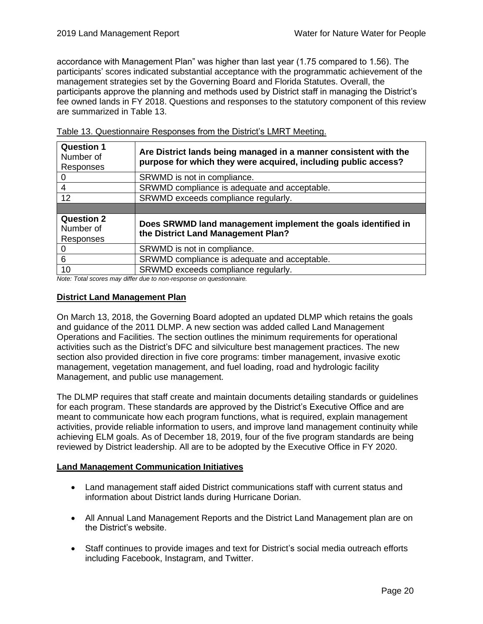accordance with Management Plan" was higher than last year (1.75 compared to 1.56). The participants' scores indicated substantial acceptance with the programmatic achievement of the management strategies set by the Governing Board and Florida Statutes. Overall, the participants approve the planning and methods used by District staff in managing the District's fee owned lands in FY 2018. Questions and responses to the statutory component of this review are summarized in Table 13.

| <b>Question 1</b><br>Number of<br>Responses | Are District lands being managed in a manner consistent with the<br>purpose for which they were acquired, including public access?                                                                                                                                       |
|---------------------------------------------|--------------------------------------------------------------------------------------------------------------------------------------------------------------------------------------------------------------------------------------------------------------------------|
| $\Omega$                                    | SRWMD is not in compliance.                                                                                                                                                                                                                                              |
| 4                                           | SRWMD compliance is adequate and acceptable.                                                                                                                                                                                                                             |
| 12                                          | SRWMD exceeds compliance regularly.                                                                                                                                                                                                                                      |
|                                             |                                                                                                                                                                                                                                                                          |
| <b>Question 2</b><br>Number of<br>Responses | Does SRWMD land management implement the goals identified in<br>the District Land Management Plan?                                                                                                                                                                       |
|                                             | SRWMD is not in compliance.                                                                                                                                                                                                                                              |
| 6                                           | SRWMD compliance is adequate and acceptable.                                                                                                                                                                                                                             |
| 10<br>$\sim$ $\sim$ $\sim$ $\sim$           | SRWMD exceeds compliance regularly.<br>$\mathbf{r}$ , and the contract of the contract of the contract of the contract of the contract of the contract of the contract of the contract of the contract of the contract of the contract of the contract of the contract o |

Table 13. Questionnaire Responses from the District's LMRT Meeting.

*Note: Total scores may differ due to non-response on questionnaire.* 

#### **District Land Management Plan**

On March 13, 2018, the Governing Board adopted an updated DLMP which retains the goals and guidance of the 2011 DLMP. A new section was added called Land Management Operations and Facilities. The section outlines the minimum requirements for operational activities such as the District's DFC and silviculture best management practices. The new section also provided direction in five core programs: timber management, invasive exotic management, vegetation management, and fuel loading, road and hydrologic facility Management, and public use management.

The DLMP requires that staff create and maintain documents detailing standards or guidelines for each program. These standards are approved by the District's Executive Office and are meant to communicate how each program functions, what is required, explain management activities, provide reliable information to users, and improve land management continuity while achieving ELM goals. As of December 18, 2019, four of the five program standards are being reviewed by District leadership. All are to be adopted by the Executive Office in FY 2020.

#### **Land Management Communication Initiatives**

- Land management staff aided District communications staff with current status and information about District lands during Hurricane Dorian.
- All Annual Land Management Reports and the District Land Management plan are on the District's website.
- Staff continues to provide images and text for District's social media outreach efforts including Facebook, Instagram, and Twitter.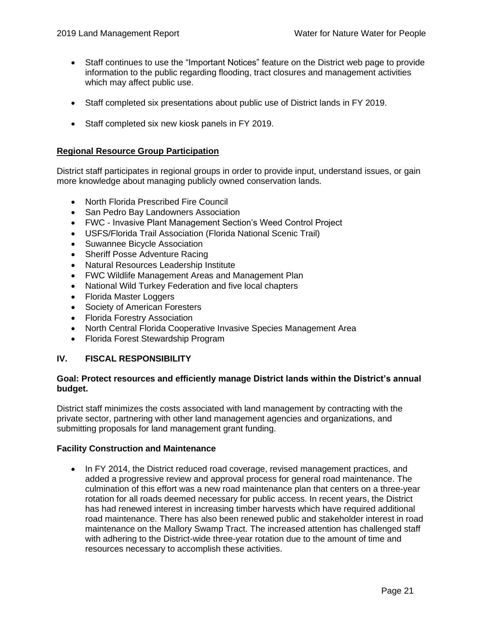- Staff continues to use the "Important Notices" feature on the District web page to provide information to the public regarding flooding, tract closures and management activities which may affect public use.
- Staff completed six presentations about public use of District lands in FY 2019.
- Staff completed six new kiosk panels in FY 2019.

#### **Regional Resource Group Participation**

District staff participates in regional groups in order to provide input, understand issues, or gain more knowledge about managing publicly owned conservation lands.

- North Florida Prescribed Fire Council
- San Pedro Bay Landowners Association
- FWC Invasive Plant Management Section's Weed Control Project
- USFS/Florida Trail Association (Florida National Scenic Trail)
- Suwannee Bicycle Association
- Sheriff Posse Adventure Racing
- Natural Resources Leadership Institute
- FWC Wildlife Management Areas and Management Plan
- National Wild Turkey Federation and five local chapters
- Florida Master Loggers
- Society of American Foresters
- Florida Forestry Association
- North Central Florida Cooperative Invasive Species Management Area
- Florida Forest Stewardship Program

#### <span id="page-23-0"></span>**IV. FISCAL RESPONSIBILITY**

## **Goal: Protect resources and efficiently manage District lands within the District's annual budget.**

District staff minimizes the costs associated with land management by contracting with the private sector, partnering with other land management agencies and organizations, and submitting proposals for land management grant funding.

#### **Facility Construction and Maintenance**

• In FY 2014, the District reduced road coverage, revised management practices, and added a progressive review and approval process for general road maintenance. The culmination of this effort was a new road maintenance plan that centers on a three-year rotation for all roads deemed necessary for public access. In recent years, the District has had renewed interest in increasing timber harvests which have required additional road maintenance. There has also been renewed public and stakeholder interest in road maintenance on the Mallory Swamp Tract. The increased attention has challenged staff with adhering to the District-wide three-year rotation due to the amount of time and resources necessary to accomplish these activities.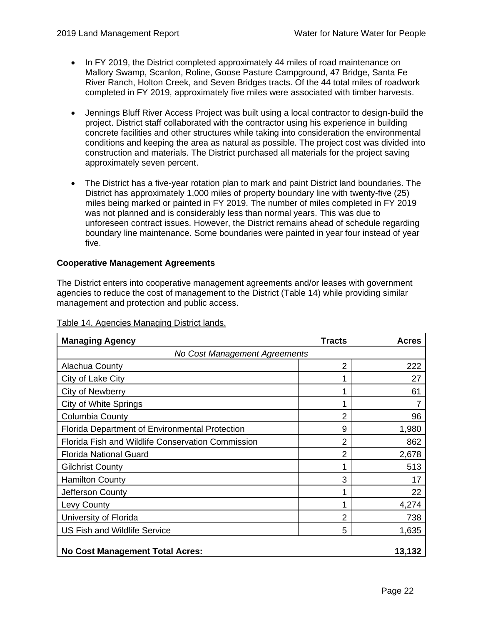- In FY 2019, the District completed approximately 44 miles of road maintenance on Mallory Swamp, Scanlon, Roline, Goose Pasture Campground, 47 Bridge, Santa Fe River Ranch, Holton Creek, and Seven Bridges tracts. Of the 44 total miles of roadwork completed in FY 2019, approximately five miles were associated with timber harvests.
- Jennings Bluff River Access Project was built using a local contractor to design-build the project. District staff collaborated with the contractor using his experience in building concrete facilities and other structures while taking into consideration the environmental conditions and keeping the area as natural as possible. The project cost was divided into construction and materials. The District purchased all materials for the project saving approximately seven percent.
- The District has a five-year rotation plan to mark and paint District land boundaries. The District has approximately 1,000 miles of property boundary line with twenty-five (25) miles being marked or painted in FY 2019. The number of miles completed in FY 2019 was not planned and is considerably less than normal years. This was due to unforeseen contract issues. However, the District remains ahead of schedule regarding boundary line maintenance. Some boundaries were painted in year four instead of year five.

## **Cooperative Management Agreements**

The District enters into cooperative management agreements and/or leases with government agencies to reduce the cost of management to the District (Table 14) while providing similar management and protection and public access.

| <b>Managing Agency</b>                                | <b>Tracts</b>  | Acres  |  |  |  |
|-------------------------------------------------------|----------------|--------|--|--|--|
| No Cost Management Agreements                         |                |        |  |  |  |
| <b>Alachua County</b>                                 | $\overline{2}$ | 222    |  |  |  |
| City of Lake City                                     | 1              | 27     |  |  |  |
| City of Newberry                                      | 1              | 61     |  |  |  |
| <b>City of White Springs</b>                          | 1              |        |  |  |  |
| Columbia County                                       | 2              | 96     |  |  |  |
| <b>Florida Department of Environmental Protection</b> | 9              | 1,980  |  |  |  |
| Florida Fish and Wildlife Conservation Commission     | 2              | 862    |  |  |  |
| <b>Florida National Guard</b>                         | 2              | 2,678  |  |  |  |
| <b>Gilchrist County</b>                               | 1              | 513    |  |  |  |
| <b>Hamilton County</b>                                | 3              | 17     |  |  |  |
| Jefferson County                                      | 1              | 22     |  |  |  |
| Levy County                                           | 1              | 4,274  |  |  |  |
| University of Florida                                 | 2              | 738    |  |  |  |
| <b>US Fish and Wildlife Service</b>                   | 5              | 1,635  |  |  |  |
| <b>No Cost Management Total Acres:</b>                |                | 13,132 |  |  |  |

#### Table 14. Agencies Managing District lands.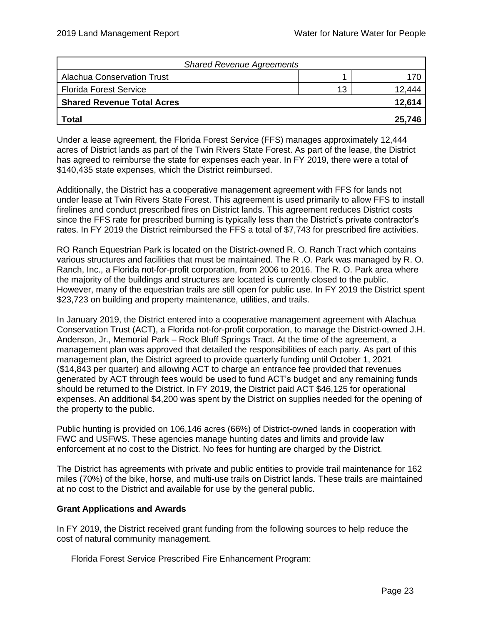| <b>Shared Revenue Agreements</b>  |    |        |
|-----------------------------------|----|--------|
| <b>Alachua Conservation Trust</b> |    |        |
| <b>Florida Forest Service</b>     | 13 | 12.444 |
| <b>Shared Revenue Total Acres</b> |    | 12,614 |
| <b>Total</b>                      |    | 25,746 |

Under a lease agreement, the Florida Forest Service (FFS) manages approximately 12,444 acres of District lands as part of the Twin Rivers State Forest. As part of the lease, the District has agreed to reimburse the state for expenses each year. In FY 2019, there were a total of \$140,435 state expenses, which the District reimbursed.

Additionally, the District has a cooperative management agreement with FFS for lands not under lease at Twin Rivers State Forest. This agreement is used primarily to allow FFS to install firelines and conduct prescribed fires on District lands. This agreement reduces District costs since the FFS rate for prescribed burning is typically less than the District's private contractor's rates. In FY 2019 the District reimbursed the FFS a total of \$7,743 for prescribed fire activities.

RO Ranch Equestrian Park is located on the District-owned R. O. Ranch Tract which contains various structures and facilities that must be maintained. The R .O. Park was managed by R. O. Ranch, Inc., a Florida not-for-profit corporation, from 2006 to 2016. The R. O. Park area where the majority of the buildings and structures are located is currently closed to the public. However, many of the equestrian trails are still open for public use. In FY 2019 the District spent \$23,723 on building and property maintenance, utilities, and trails.

In January 2019, the District entered into a cooperative management agreement with Alachua Conservation Trust (ACT), a Florida not-for-profit corporation, to manage the District-owned J.H. Anderson, Jr., Memorial Park – Rock Bluff Springs Tract. At the time of the agreement, a management plan was approved that detailed the responsibilities of each party. As part of this management plan, the District agreed to provide quarterly funding until October 1, 2021 (\$14,843 per quarter) and allowing ACT to charge an entrance fee provided that revenues generated by ACT through fees would be used to fund ACT's budget and any remaining funds should be returned to the District. In FY 2019, the District paid ACT \$46,125 for operational expenses. An additional \$4,200 was spent by the District on supplies needed for the opening of the property to the public.

Public hunting is provided on 106,146 acres (66%) of District-owned lands in cooperation with FWC and USFWS. These agencies manage hunting dates and limits and provide law enforcement at no cost to the District. No fees for hunting are charged by the District.

The District has agreements with private and public entities to provide trail maintenance for 162 miles (70%) of the bike, horse, and multi-use trails on District lands. These trails are maintained at no cost to the District and available for use by the general public.

## **Grant Applications and Awards**

In FY 2019, the District received grant funding from the following sources to help reduce the cost of natural community management.

Florida Forest Service Prescribed Fire Enhancement Program: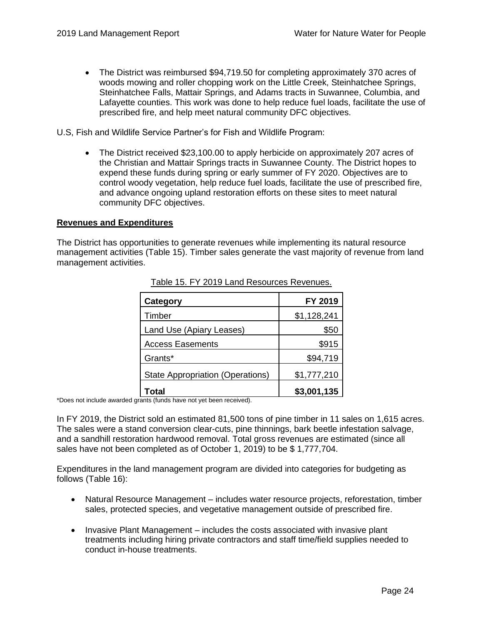• The District was reimbursed \$94,719.50 for completing approximately 370 acres of woods mowing and roller chopping work on the Little Creek, Steinhatchee Springs, Steinhatchee Falls, Mattair Springs, and Adams tracts in Suwannee, Columbia, and Lafayette counties. This work was done to help reduce fuel loads, facilitate the use of prescribed fire, and help meet natural community DFC objectives.

U.S, Fish and Wildlife Service Partner's for Fish and Wildlife Program:

• The District received \$23,100.00 to apply herbicide on approximately 207 acres of the Christian and Mattair Springs tracts in Suwannee County. The District hopes to expend these funds during spring or early summer of FY 2020. Objectives are to control woody vegetation, help reduce fuel loads, facilitate the use of prescribed fire, and advance ongoing upland restoration efforts on these sites to meet natural community DFC objectives.

#### **Revenues and Expenditures**

The District has opportunities to generate revenues while implementing its natural resource management activities (Table 15). Timber sales generate the vast majority of revenue from land management activities.

| <b>Category</b>                         | FY 2019     |
|-----------------------------------------|-------------|
| Timber                                  | \$1,128,241 |
| Land Use (Apiary Leases)                | \$50        |
| <b>Access Easements</b>                 | \$915       |
| Grants*                                 | \$94,719    |
| <b>State Appropriation (Operations)</b> | \$1,777,210 |
| Total                                   | \$3,001,135 |

Table 15. FY 2019 Land Resources Revenues.

\*Does not include awarded grants (funds have not yet been received).

In FY 2019, the District sold an estimated 81,500 tons of pine timber in 11 sales on 1,615 acres. The sales were a stand conversion clear-cuts, pine thinnings, bark beetle infestation salvage, and a sandhill restoration hardwood removal. Total gross revenues are estimated (since all sales have not been completed as of October 1, 2019) to be \$ 1,777,704.

Expenditures in the land management program are divided into categories for budgeting as follows (Table 16):

- Natural Resource Management includes water resource projects, reforestation, timber sales, protected species, and vegetative management outside of prescribed fire.
- Invasive Plant Management includes the costs associated with invasive plant treatments including hiring private contractors and staff time/field supplies needed to conduct in-house treatments.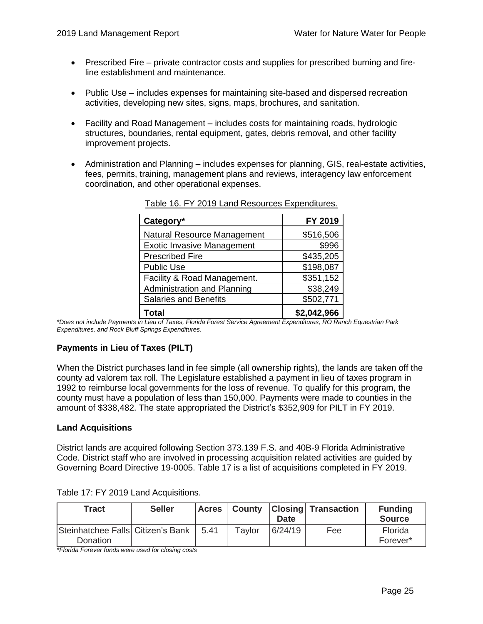- Prescribed Fire private contractor costs and supplies for prescribed burning and fireline establishment and maintenance.
- Public Use includes expenses for maintaining site-based and dispersed recreation activities, developing new sites, signs, maps, brochures, and sanitation.
- Facility and Road Management includes costs for maintaining roads, hydrologic structures, boundaries, rental equipment, gates, debris removal, and other facility improvement projects.
- Administration and Planning includes expenses for planning, GIS, real-estate activities, fees, permits, training, management plans and reviews, interagency law enforcement coordination, and other operational expenses.

| Category*                         | FY 2019     |
|-----------------------------------|-------------|
| Natural Resource Management       | \$516,506   |
| <b>Exotic Invasive Management</b> | \$996       |
| <b>Prescribed Fire</b>            | \$435,205   |
| <b>Public Use</b>                 | \$198,087   |
| Facility & Road Management.       | \$351,152   |
| Administration and Planning       | \$38,249    |
| <b>Salaries and Benefits</b>      | \$502,771   |
| Total                             | \$2,042,966 |

Table 16. FY 2019 Land Resources Expenditures.

*\*Does not include Payments in Lieu of Taxes, Florida Forest Service Agreement Expenditures, RO Ranch Equestrian Park Expenditures, and Rock Bluff Springs Expenditures.* 

## **Payments in Lieu of Taxes (PILT)**

When the District purchases land in fee simple (all ownership rights), the lands are taken off the county ad valorem tax roll. The Legislature established a payment in lieu of taxes program in 1992 to reimburse local governments for the loss of revenue. To qualify for this program, the county must have a population of less than 150,000. Payments were made to counties in the amount of \$338,482. The state appropriated the District's \$352,909 for PILT in FY 2019.

## **Land Acquisitions**

District lands are acquired following Section 373.139 F.S. and 40B-9 Florida Administrative Code. District staff who are involved in processing acquisition related activities are guided by Governing Board Directive 19-0005. Table 17 is a list of acquisitions completed in FY 2019.

| <b>Tract</b>                                  | <b>Seller</b> | Acres |        | <b>Date</b> | <b>County Closing Transaction</b> | <b>Funding</b><br><b>Source</b> |
|-----------------------------------------------|---------------|-------|--------|-------------|-----------------------------------|---------------------------------|
| Steinhatchee Falls Citizen's Bank<br>Donation |               | 5.41  | Tavlor | 6/24/19     | Fee                               | Florida<br>Forever*             |

Table 17: FY 2019 Land Acquisitions.

*\*Florida Forever funds were used for closing costs*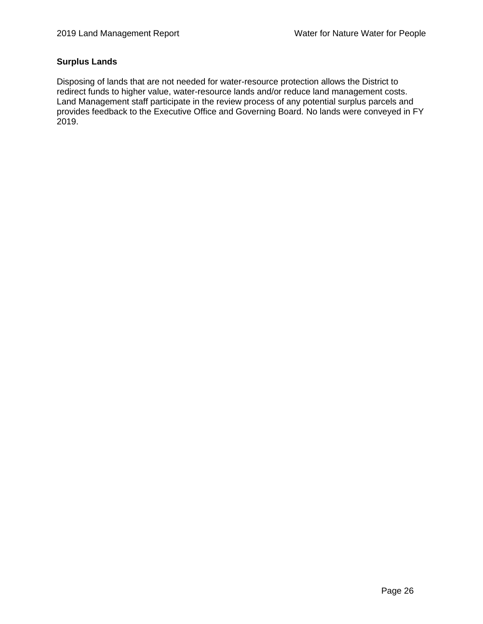## **Surplus Lands**

<span id="page-28-0"></span>Disposing of lands that are not needed for water-resource protection allows the District to redirect funds to higher value, water-resource lands and/or reduce land management costs. Land Management staff participate in the review process of any potential surplus parcels and provides feedback to the Executive Office and Governing Board. No lands were conveyed in FY 2019.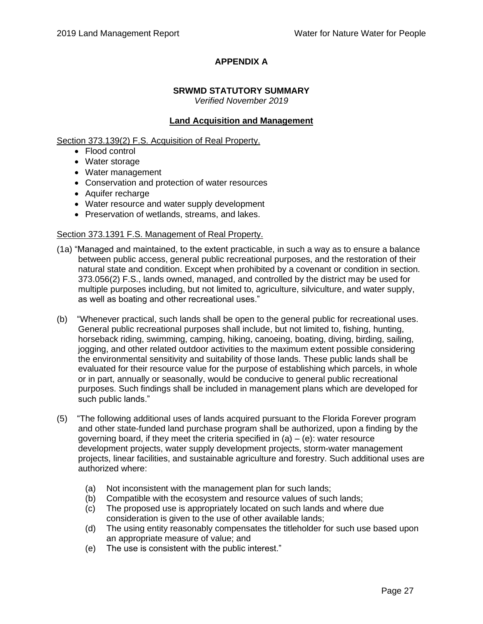# **APPENDIX A**

# **SRWMD STATUTORY SUMMARY**

*Verified November 2019*

# **Land Acquisition and Management**

Section 373.139(2) F.S. Acquisition of Real Property.

- Flood control
- Water storage
- Water management
- Conservation and protection of water resources
- Aquifer recharge
- Water resource and water supply development
- Preservation of wetlands, streams, and lakes.

## Section 373.1391 F.S. Management of Real Property.

- (1a) "Managed and maintained, to the extent practicable, in such a way as to ensure a balance between public access, general public recreational purposes, and the restoration of their natural state and condition. Except when prohibited by a covenant or condition in section. 373.056(2) F.S., lands owned, managed, and controlled by the district may be used for multiple purposes including, but not limited to, agriculture, silviculture, and water supply, as well as boating and other recreational uses."
- (b) "Whenever practical, such lands shall be open to the general public for recreational uses. General public recreational purposes shall include, but not limited to, fishing, hunting, horseback riding, swimming, camping, hiking, canoeing, boating, diving, birding, sailing, jogging, and other related outdoor activities to the maximum extent possible considering the environmental sensitivity and suitability of those lands. These public lands shall be evaluated for their resource value for the purpose of establishing which parcels, in whole or in part, annually or seasonally, would be conducive to general public recreational purposes. Such findings shall be included in management plans which are developed for such public lands."
- (5) "The following additional uses of lands acquired pursuant to the Florida Forever program and other state-funded land purchase program shall be authorized, upon a finding by the governing board, if they meet the criteria specified in  $(a) - (e)$ : water resource development projects, water supply development projects, storm-water management projects, linear facilities, and sustainable agriculture and forestry. Such additional uses are authorized where:
	- (a) Not inconsistent with the management plan for such lands;
	- (b) Compatible with the ecosystem and resource values of such lands;
	- (c) The proposed use is appropriately located on such lands and where due consideration is given to the use of other available lands;
	- (d) The using entity reasonably compensates the titleholder for such use based upon an appropriate measure of value; and
	- (e) The use is consistent with the public interest."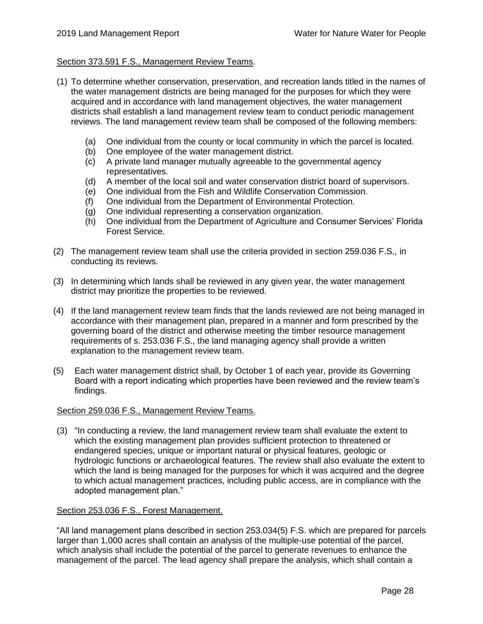## Section 373.591 F.S., Management Review Teams.

- (1) To determine whether conservation, preservation, and recreation lands titled in the names of the water management districts are being managed for the purposes for which they were acquired and in accordance with land management objectives, the water management districts shall establish a land management review team to conduct periodic management reviews. The land management review team shall be composed of the following members:
	- (a) One individual from the county or local community in which the parcel is located.
	- (b) One employee of the water management district.
	- (c) A private land manager mutually agreeable to the governmental agency representatives.
	- (d) A member of the local soil and water conservation district board of supervisors.
	- (e) One individual from the Fish and Wildlife Conservation Commission.
	- (f) One individual from the Department of Environmental Protection.
	- (g) One individual representing a conservation organization.
	- (h) One individual from the Department of Agriculture and Consumer Services' Florida Forest Service.
- (2) The management review team shall use the criteria provided in section 259.036 F.S., in conducting its reviews.
- (3) In determining which lands shall be reviewed in any given year, the water management district may prioritize the properties to be reviewed.
- (4) If the land management review team finds that the lands reviewed are not being managed in accordance with their management plan, prepared in a manner and form prescribed by the governing board of the district and otherwise meeting the timber resource management requirements of s. 253.036 F.S., the land managing agency shall provide a written explanation to the management review team.
- (5) Each water management district shall, by October 1 of each year, provide its Governing Board with a report indicating which properties have been reviewed and the review team's findings.

#### Section 259.036 F.S., Management Review Teams.

(3) "In conducting a review, the land management review team shall evaluate the extent to which the existing management plan provides sufficient protection to threatened or endangered species, unique or important natural or physical features, geologic or hydrologic functions or archaeological features. The review shall also evaluate the extent to which the land is being managed for the purposes for which it was acquired and the degree to which actual management practices, including public access, are in compliance with the adopted management plan."

#### Section 253.036 F.S., Forest Management.

"All land management plans described in section 253.034(5) F.S. which are prepared for parcels larger than 1,000 acres shall contain an analysis of the multiple-use potential of the parcel, which analysis shall include the potential of the parcel to generate revenues to enhance the management of the parcel. The lead agency shall prepare the analysis, which shall contain a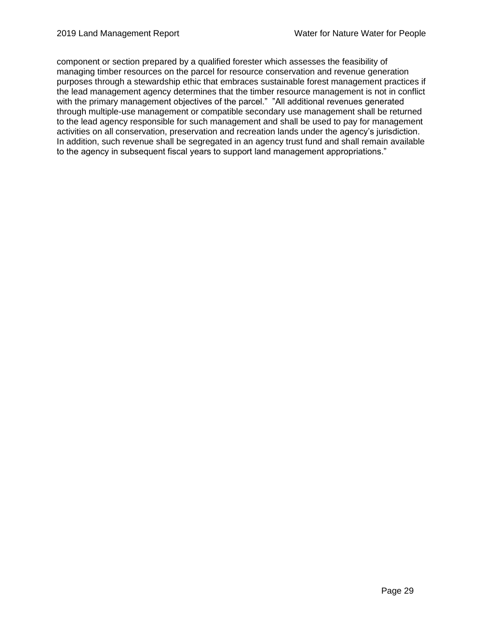component or section prepared by a qualified forester which assesses the feasibility of managing timber resources on the parcel for resource conservation and revenue generation purposes through a stewardship ethic that embraces sustainable forest management practices if the lead management agency determines that the timber resource management is not in conflict with the primary management objectives of the parcel." "All additional revenues generated through multiple-use management or compatible secondary use management shall be returned to the lead agency responsible for such management and shall be used to pay for management activities on all conservation, preservation and recreation lands under the agency's jurisdiction. In addition, such revenue shall be segregated in an agency trust fund and shall remain available to the agency in subsequent fiscal years to support land management appropriations."